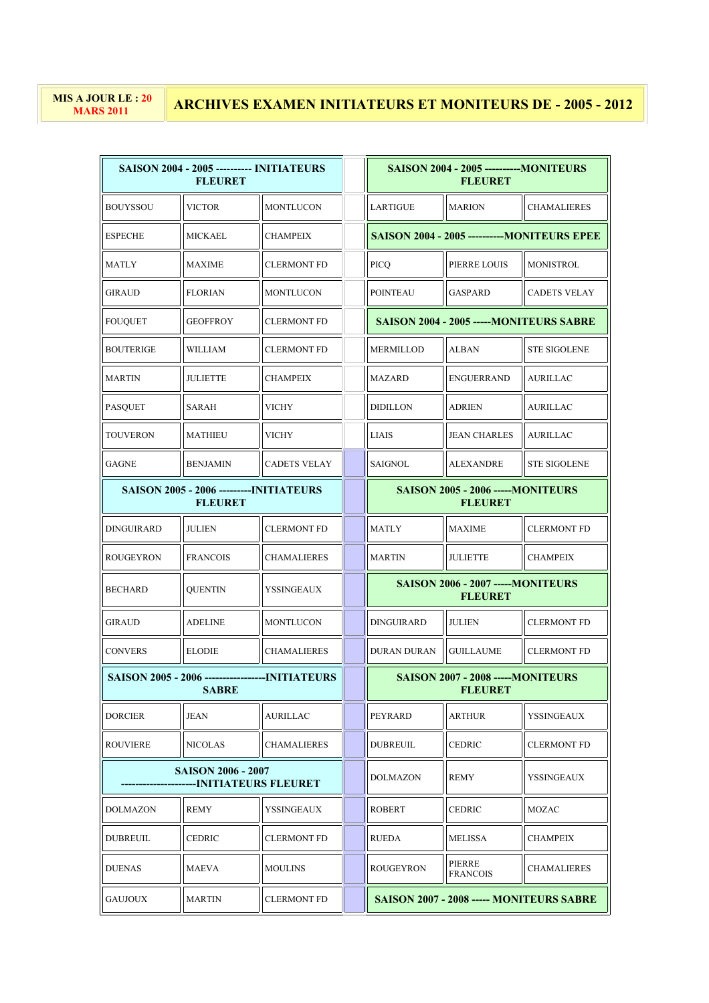## **MARS 2011 ARCHIVES EXAMEN INITIATEURS ET MONITEURS DE - 2005 - 2012**

| <b>SAISON 2004 - 2005 ---------- INITIATEURS</b><br><b>FLEURET</b>       |                 | <b>SAISON 2004 - 2005 -----------MONITEURS</b><br><b>FLEURET</b> |                                                             |                                         |                                                     |  |
|--------------------------------------------------------------------------|-----------------|------------------------------------------------------------------|-------------------------------------------------------------|-----------------------------------------|-----------------------------------------------------|--|
| <b>BOUYSSOU</b>                                                          | <b>VICTOR</b>   | <b>MONTLUCON</b>                                                 | LARTIGUE                                                    | <b>MARION</b>                           | <b>CHAMALIERES</b>                                  |  |
| <b>ESPECHE</b>                                                           | MICKAEL         | <b>CHAMPEIX</b>                                                  |                                                             |                                         | <b>SAISON 2004 - 2005 -----------MONITEURS EPEE</b> |  |
| MATLY                                                                    | <b>MAXIME</b>   | <b>CLERMONT FD</b>                                               | <b>PICQ</b>                                                 | PIERRE LOUIS                            | <b>MONISTROL</b>                                    |  |
| GIRAUD                                                                   | FLORIAN         | <b>MONTLUCON</b>                                                 | <b>POINTEAU</b>                                             | <b>GASPARD</b>                          | <b>CADETS VELAY</b>                                 |  |
| FOUQUET                                                                  | <b>GEOFFROY</b> | <b>CLERMONT FD</b>                                               |                                                             | SAISON 2004 - 2005 -----MONITEURS SABRE |                                                     |  |
| BOUTERIGE                                                                | WILLIAM         | <b>CLERMONT FD</b>                                               | <b>MERMILLOD</b>                                            | <b>ALBAN</b>                            | <b>STE SIGOLENE</b>                                 |  |
| <b>MARTIN</b>                                                            | JULIETTE        | <b>CHAMPEIX</b>                                                  | <b>MAZARD</b>                                               | <b>ENGUERRAND</b>                       | <b>AURILLAC</b>                                     |  |
| <b>PASQUET</b>                                                           | SARAH           | VICHY                                                            | <b>DIDILLON</b>                                             | <b>ADRIEN</b>                           | <b>AURILLAC</b>                                     |  |
| TOUVERON                                                                 | MATHIEU         | <b>VICHY</b>                                                     | <b>LIAIS</b>                                                | <b>JEAN CHARLES</b>                     | <b>AURILLAC</b>                                     |  |
| GAGNE                                                                    | BENJAMIN        | <b>CADETS VELAY</b>                                              | <b>SAIGNOL</b>                                              | <b>ALEXANDRE</b>                        | <b>STE SIGOLENE</b>                                 |  |
| <b>SAISON 2005 - 2006 ---------INITIATEURS</b><br><b>FLEURET</b>         |                 |                                                                  | <b>SAISON 2005 - 2006 ----- MONITEURS</b><br><b>FLEURET</b> |                                         |                                                     |  |
| DINGUIRARD                                                               | <b>JULIEN</b>   | <b>CLERMONT FD</b>                                               | <b>MATLY</b>                                                | <b>MAXIME</b>                           | <b>CLERMONT FD</b>                                  |  |
| ROUGEYRON                                                                | <b>FRANCOIS</b> | <b>CHAMALIERES</b>                                               | <b>MARTIN</b>                                               | <b>JULIETTE</b>                         | <b>CHAMPEIX</b>                                     |  |
| <b>BECHARD</b>                                                           | QUENTIN         | YSSINGEAUX                                                       | <b>SAISON 2006 - 2007 -----MONITEURS</b><br><b>FLEURET</b>  |                                         |                                                     |  |
| <b>GIRAUD</b>                                                            | ADELINE         | <b>MONTLUCON</b>                                                 | <b>DINGUIRARD</b>                                           | <b>JULIEN</b>                           | <b>CLERMONT FD</b>                                  |  |
| <b>CONVERS</b>                                                           | <b>ELODIE</b>   | <b>CHAMALIERES</b>                                               | <b>DURAN DURAN</b>                                          | <b>GUILLAUME</b>                        | <b>CLERMONT FD</b>                                  |  |
| <b>SAISON 2005 - 2006 -------------------INITIATEURS</b><br><b>SABRE</b> |                 |                                                                  | <b>SAISON 2007 - 2008 -----MONITEURS</b><br><b>FLEURET</b>  |                                         |                                                     |  |
| DORCIER                                                                  | JEAN            | AURILLAC                                                         | PEYRARD                                                     | <b>ARTHUR</b>                           | YSSINGEAUX                                          |  |
| ROUVIERE                                                                 | NICOLAS         | <b>CHAMALIERES</b>                                               | <b>DUBREUIL</b>                                             | <b>CEDRIC</b>                           | <b>CLERMONT FD</b>                                  |  |
| <b>SAISON 2006 - 2007</b><br>--INITIATEURS FLEURET                       |                 |                                                                  | <b>DOLMAZON</b>                                             | <b>REMY</b>                             | YSSINGEAUX                                          |  |
| DOLMAZON                                                                 | REMY            | YSSINGEAUX                                                       | ROBERT                                                      | <b>CEDRIC</b>                           | MOZAC                                               |  |
| <b>DUBREUIL</b>                                                          | <b>CEDRIC</b>   | <b>CLERMONT FD</b>                                               | RUEDA                                                       | MELISSA                                 | CHAMPEIX                                            |  |
| <b>DUENAS</b>                                                            | MAEVA           | <b>MOULINS</b>                                                   | <b>ROUGEYRON</b>                                            | PIERRE<br><b>FRANCOIS</b>               | CHAMALIERES                                         |  |
| <b>GAUJOUX</b>                                                           | <b>MARTIN</b>   | <b>CLERMONT FD</b>                                               | SAISON 2007 - 2008 ----- MONITEURS SABRE                    |                                         |                                                     |  |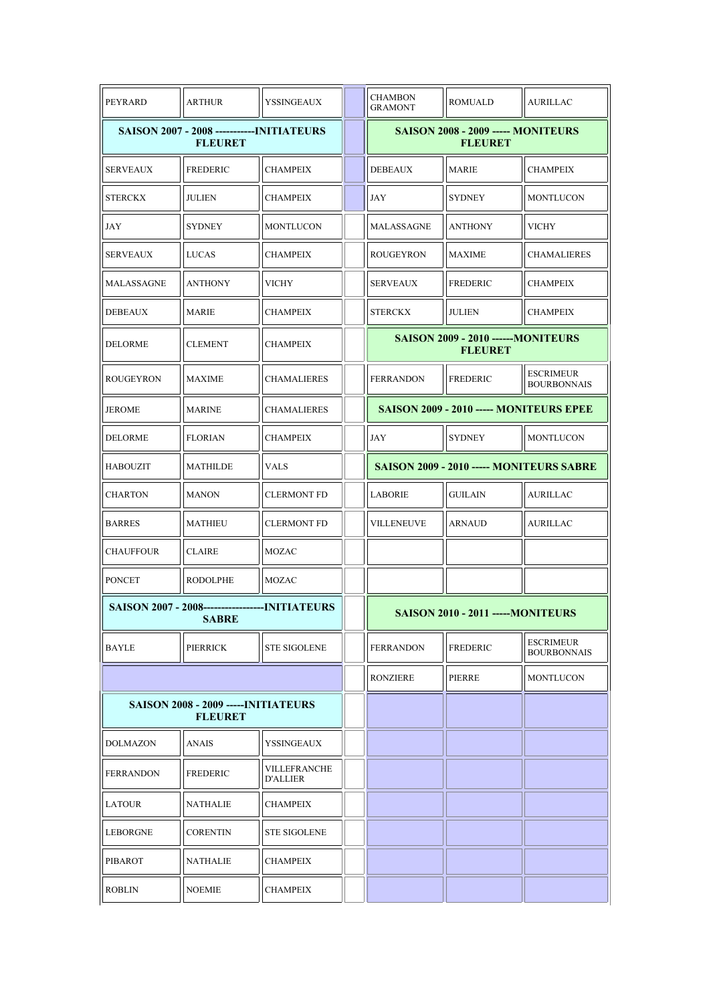| PEYRARD                                                            | <b>ARTHUR</b>                                                            | <b>YSSINGEAUX</b>               | <b>CHAMBON</b><br><b>GRAMONT</b>                             | <b>ROMUALD</b>                          | <b>AURILLAC</b>                        |  |
|--------------------------------------------------------------------|--------------------------------------------------------------------------|---------------------------------|--------------------------------------------------------------|-----------------------------------------|----------------------------------------|--|
| <b>SAISON 2007 - 2008 -----------INITIATEURS</b><br><b>FLEURET</b> |                                                                          |                                 | <b>SAISON 2008 - 2009 ----- MONITEURS</b><br><b>FLEURET</b>  |                                         |                                        |  |
| <b>SERVEAUX</b>                                                    | <b>FREDERIC</b>                                                          | <b>CHAMPEIX</b>                 | <b>DEBEAUX</b>                                               | <b>MARIE</b>                            | <b>CHAMPEIX</b>                        |  |
| <b>STERCKX</b>                                                     | <b>JULIEN</b>                                                            | <b>CHAMPEIX</b>                 | JAY                                                          | <b>SYDNEY</b>                           | <b>MONTLUCON</b>                       |  |
| JAY                                                                | <b>SYDNEY</b>                                                            | <b>MONTLUCON</b>                | <b>MALASSAGNE</b>                                            | <b>ANTHONY</b>                          | <b>VICHY</b>                           |  |
| <b>SERVEAUX</b>                                                    | LUCAS                                                                    | <b>CHAMPEIX</b>                 | <b>ROUGEYRON</b>                                             | <b>MAXIME</b>                           | <b>CHAMALIERES</b>                     |  |
| MALASSAGNE                                                         | <b>ANTHONY</b>                                                           | VICHY                           | SERVEAUX                                                     | FREDERIC                                | <b>CHAMPEIX</b>                        |  |
| <b>DEBEAUX</b>                                                     | <b>MARIE</b>                                                             | <b>CHAMPEIX</b>                 | <b>STERCKX</b>                                               | <b>JULIEN</b>                           | <b>CHAMPEIX</b>                        |  |
| DELORME                                                            | <b>CLEMENT</b>                                                           | <b>CHAMPEIX</b>                 | <b>SAISON 2009 - 2010 ------ MONITEURS</b><br><b>FLEURET</b> |                                         |                                        |  |
| <b>ROUGEYRON</b>                                                   | <b>MAXIME</b>                                                            | <b>CHAMALIERES</b>              | <b>FERRANDON</b>                                             | FREDERIC                                | <b>ESCRIMEUR</b><br><b>BOURBONNAIS</b> |  |
| <b>JEROME</b>                                                      | <b>MARINE</b>                                                            | <b>CHAMALIERES</b>              |                                                              | SAISON 2009 - 2010 ----- MONITEURS EPEE |                                        |  |
| DELORME                                                            | <b>FLORIAN</b>                                                           | <b>CHAMPEIX</b>                 | JAY                                                          | <b>SYDNEY</b>                           | <b>MONTLUCON</b>                       |  |
| <b>HABOUZIT</b>                                                    | <b>MATHILDE</b>                                                          | <b>VALS</b>                     | SAISON 2009 - 2010 ----- MONITEURS SABRE                     |                                         |                                        |  |
| <b>CHARTON</b>                                                     | <b>MANON</b>                                                             | <b>CLERMONT FD</b>              | <b>LABORIE</b>                                               | <b>GUILAIN</b>                          | <b>AURILLAC</b>                        |  |
| <b>BARRES</b>                                                      | <b>MATHIEU</b>                                                           | <b>CLERMONT FD</b>              | VILLENEUVE                                                   | <b>ARNAUD</b>                           | <b>AURILLAC</b>                        |  |
| <b>CHAUFFOUR</b>                                                   | <b>CLAIRE</b>                                                            | <b>MOZAC</b>                    |                                                              |                                         |                                        |  |
| <b>PONCET</b>                                                      | <b>RODOLPHE</b>                                                          | <b>MOZAC</b>                    |                                                              |                                         |                                        |  |
|                                                                    | <b>SAISON 2007 - 2008--------------------INITIATEURS</b><br><b>SABRE</b> |                                 | <b>SAISON 2010 - 2011 -----MONITEURS</b>                     |                                         |                                        |  |
| <b>BAYLE</b>                                                       | PIERRICK                                                                 | <b>STE SIGOLENE</b>             | <b>FERRANDON</b>                                             | FREDERIC                                | <b>ESCRIMEUR</b><br><b>BOURBONNAIS</b> |  |
|                                                                    |                                                                          |                                 | <b>RONZIERE</b>                                              | PIERRE                                  | MONTLUCON                              |  |
| <b>SAISON 2008 - 2009 ----- INITIATEURS</b><br><b>FLEURET</b>      |                                                                          |                                 |                                                              |                                         |                                        |  |
| <b>DOLMAZON</b>                                                    | ANAIS                                                                    | <b>YSSINGEAUX</b>               |                                                              |                                         |                                        |  |
| <b>FERRANDON</b>                                                   | FREDERIC                                                                 | VILLEFRANCHE<br><b>D'ALLIER</b> |                                                              |                                         |                                        |  |
| LATOUR                                                             | NATHALIE                                                                 | <b>CHAMPEIX</b>                 |                                                              |                                         |                                        |  |
| LEBORGNE                                                           | <b>CORENTIN</b>                                                          | <b>STE SIGOLENE</b>             |                                                              |                                         |                                        |  |
| PIBAROT                                                            | <b>NATHALIE</b>                                                          | <b>CHAMPEIX</b>                 |                                                              |                                         |                                        |  |
| <b>ROBLIN</b>                                                      | <b>NOEMIE</b>                                                            | <b>CHAMPEIX</b>                 |                                                              |                                         |                                        |  |